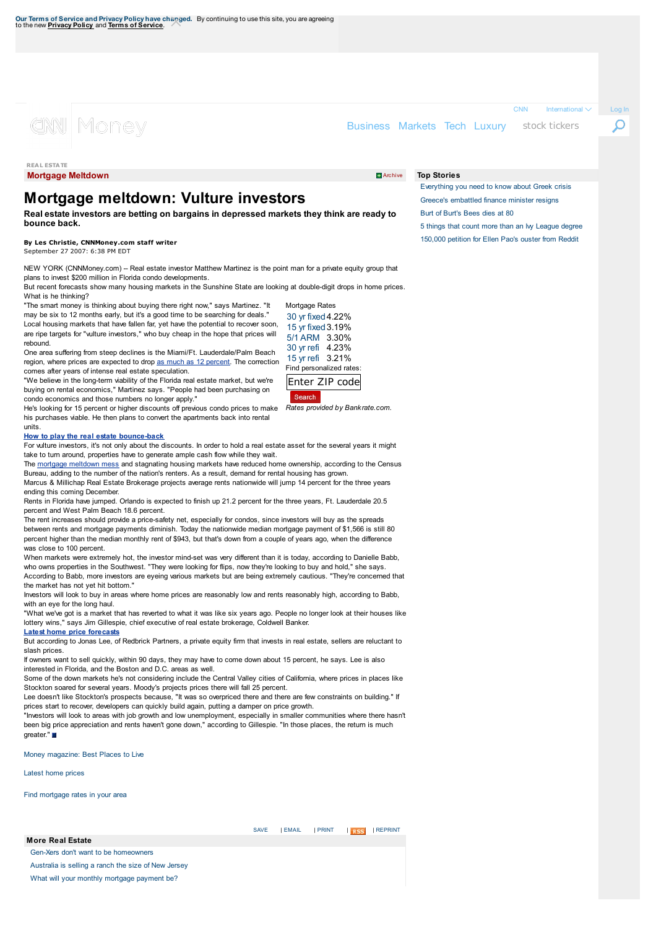$CNN$  International  $\vee$  Log In

Ω

**Mortgage Meltdown** Archive **Archive Archive Archive Archive Archive Archive Archive** Archive **Archive** Archive **Archive** 

**REAL ESTATE**

(CINN)

# **Mortgage [meltdown:](http://money.cnn.com/) Vulture investors**

**Real estate investors are betting on bargains in depressed markets they think are ready to bounce back.**

## **By Les Christie, CNNMoney.com staff writer**

Monev

September 27 2007: 6:38 PM EDT

NEW YORK (CNNMoney.com) -- Real estate investor Matthew Martinez is the point man for a private equity group that plans to invest \$200 million in Florida condo developments.

But recent forecasts show many housing markets in the Sunshine State are looking at double-digit drops in home prices. What is he thinking?

"The smart money is [thinking](http://money.cnn.com/real_estate/) about buying there right [now,"](http://money.cnn.com/media/) says Martinez. "It may be six to 12 months early, but it's a good time to be [searching](http://money.cnn.com/data/markets/trade/) for deals." Local housing [markets](http://money.cnn.com/real_estate/foreclosures/) that have fallen far, yet have the potential to recover soon,

are ripe targets for "vulture investors," who buy cheap in the hope that prices will rebound.

One area suffering from steep declines is the [Miami/Ft.](http://money.cnn.com/news/companies/access/) [Lauderdale/](http://money.cnn.com/investing/thebuzz/)Palm Beach region, where prices are expected to drop as much as 12 percent. The correction comes after years of intense real estate speculation.

"We believe in the long-term viability of the Florida real estate market, but we're buying on rental economics," Martinez says. ["People](http://money.cnn.com/news/economy/davos/) had been purchasing on condo [economics](http://money.cnn.com/gallery/technology/2015/07/02/best-travel-startups/index.html) and those numbers no longer apply."

He's looking for 15 percent or higher discounts off previous condo prices to make his purchases viable. He then plans to convert the [apartments](http://money.cnn.com/investing/) back into rental

#### **How to play the real estate bounce-back**

units.

For vulture investors, it's not only about the discounts. In order to hold a real estate asset for the several years it might take to turn around, properties have to generate ample cash flow while they wait.

The mortgage meltdown mess and stagnating housing [markets](http://money.cnn.com/news/economy/) have reduced home ownership, [according](http://money.cnn.com/data/world_markets/americas/) to the Census Bureau, adding to the number of the nation's renters. As a result, demand for rental housing has grown. Marcus & Millichap Real Estate Brokerage projects average rents nationwide will jump 14 percent for the three years

ending this coming December.

Rents in Florida have jumped. Orlando is expected to finish up 21.2 percent for the three years, Ft. Lauderdale 20.5 percent and West Palm Beach 18.6 percent.

The rent increases should provide a price-safety net, especially for condos, since investors will buy as the spreads between rents and mortgage payments diminish. Today the nationwide median mortgage payment of \$1,566 is still 80 percent higher than the median monthly rent of \$943, but that's down from a couple of years ago, when the difference was close to 100 percent.

When markets were extremely hot, the investor mind-set was very different than it is today, according to Danielle Babb, who owns properties in the Southwest. "They were looking for flips, now they're looking to buy and hold," she says. According to Babb, more investors are eyeing various markets but are being extremely cautious. "They're concerned that the market has not yet hit bottom."

Investors will look to buy in areas where home prices are reasonably low and rents reasonably high, according to Babb, with an eye for the long haul.

"What we've got is a market that has reverted to what it was like six years ago. People no longer look at their houses like lottery wins," says Jim Gillespie, chief executive of real estate brokerage, Coldwell Banker.

#### **Latest home price forecasts**

But according to Jonas Lee, of Redbrick Partners, a private equity firm that invests in real estate, sellers are reluctant to slash prices.

If owners want to sell quickly, within 90 days, they may have to come down about 15 percent, he says. Lee is also interested in Florida, and the Boston and D.C. areas as well.

Some of the down markets he's not considering include the Central Valley cities of [California,](http://money.cnn.com/2007/09/19/real_estate/steep_home_price_drops_coming/index.htm?postversion=2007091915) where prices in places like Stockton soared for several years. Moody's projects prices there will fall 25 percent.

Lee doesn't like Stockton's prospects because. "It was so overpriced there and there are few constraints on building." If prices start to recover, developers can quickly build again, putting a damper on price growth.

"Investors will look to areas with job growth and low unemployment, especially in smaller communities where there hasn't been big price appreciation and rents haven't gone down," according to Gillespie. "In those places, the return is much greater."

Money magazine: Best Places to Live

Latest home prices

**More Real Estate**

Find mortgage rates in your area

Gen-Xers don't want to be homeowners Australia is selling a ranch the size of New Jersey What will your monthly [mortgage](http://money.cnn.com/2007/09/13/real_estate/mortgage_meltdown.moneymag/index.htm?postversion=2007091408) payment be?

Everything you need to know about Greek crisis Greece's embattled finance minister resigns Burt of Burt's Bees dies at 80

Business Markets Tech Luxury stock tickers

5 things that count more than an Ivy League degree 150,000 petition for Ellen Pao's ouster from Reddit

30 yr [fixed4.22%](http://money.cnn.com/news/companies/who-is/) 15 yr fixed3.19% 5/1 ARM 3.30% 30 yr refi [4.23%](http://money.cnn.com/news/companies/5-stunning-stats/) 15 yr refi 3.21% Find personalized rates: [Enter](http://money.cnn.com/interactive/luxury/expensive-real-estate/) ZIP [code](http://money.cnn.com/data/dow30/) Search *Rates provided by Bankrate.com.*

Mortgage Rates

### **Top Stories**